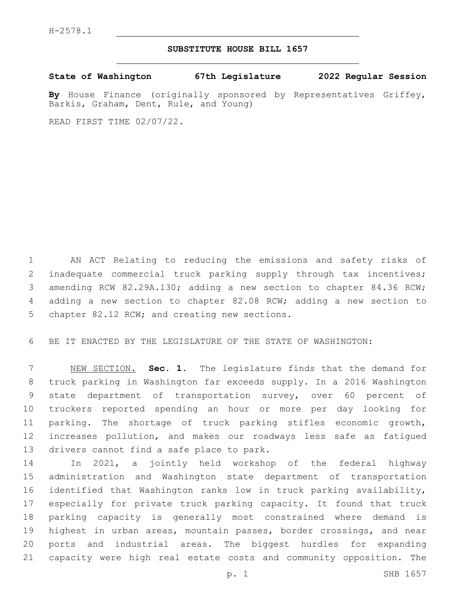## **SUBSTITUTE HOUSE BILL 1657**

**State of Washington 67th Legislature 2022 Regular Session**

By House Finance (originally sponsored by Representatives Griffey, Barkis, Graham, Dent, Rule, and Young)

READ FIRST TIME 02/07/22.

 AN ACT Relating to reducing the emissions and safety risks of inadequate commercial truck parking supply through tax incentives; amending RCW 82.29A.130; adding a new section to chapter 84.36 RCW; adding a new section to chapter 82.08 RCW; adding a new section to 5 chapter 82.12 RCW; and creating new sections.

BE IT ENACTED BY THE LEGISLATURE OF THE STATE OF WASHINGTON:

 NEW SECTION. **Sec. 1.** The legislature finds that the demand for truck parking in Washington far exceeds supply. In a 2016 Washington state department of transportation survey, over 60 percent of truckers reported spending an hour or more per day looking for parking. The shortage of truck parking stifles economic growth, increases pollution, and makes our roadways less safe as fatigued drivers cannot find a safe place to park.

 In 2021, a jointly held workshop of the federal highway administration and Washington state department of transportation identified that Washington ranks low in truck parking availability, especially for private truck parking capacity. It found that truck parking capacity is generally most constrained where demand is highest in urban areas, mountain passes, border crossings, and near ports and industrial areas. The biggest hurdles for expanding capacity were high real estate costs and community opposition. The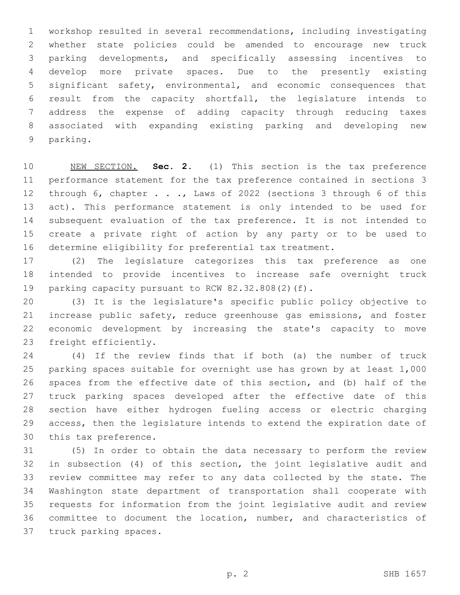workshop resulted in several recommendations, including investigating whether state policies could be amended to encourage new truck parking developments, and specifically assessing incentives to develop more private spaces. Due to the presently existing significant safety, environmental, and economic consequences that result from the capacity shortfall, the legislature intends to address the expense of adding capacity through reducing taxes associated with expanding existing parking and developing new 9 parking.

 NEW SECTION. **Sec. 2.** (1) This section is the tax preference performance statement for the tax preference contained in sections 3 through 6, chapter . . ., Laws of 2022 (sections 3 through 6 of this act). This performance statement is only intended to be used for subsequent evaluation of the tax preference. It is not intended to create a private right of action by any party or to be used to determine eligibility for preferential tax treatment.

 (2) The legislature categorizes this tax preference as one intended to provide incentives to increase safe overnight truck 19 parking capacity pursuant to RCW 82.32.808(2)(f).

 (3) It is the legislature's specific public policy objective to increase public safety, reduce greenhouse gas emissions, and foster economic development by increasing the state's capacity to move 23 freight efficiently.

 (4) If the review finds that if both (a) the number of truck parking spaces suitable for overnight use has grown by at least 1,000 spaces from the effective date of this section, and (b) half of the truck parking spaces developed after the effective date of this section have either hydrogen fueling access or electric charging access, then the legislature intends to extend the expiration date of 30 this tax preference.

 (5) In order to obtain the data necessary to perform the review in subsection (4) of this section, the joint legislative audit and review committee may refer to any data collected by the state. The Washington state department of transportation shall cooperate with requests for information from the joint legislative audit and review committee to document the location, number, and characteristics of 37 truck parking spaces.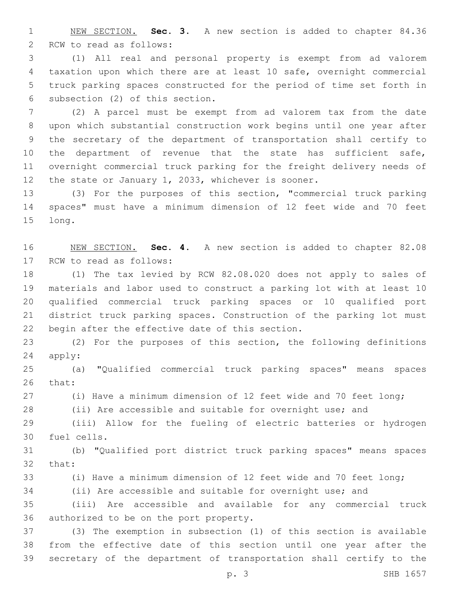NEW SECTION. **Sec. 3.** A new section is added to chapter 84.36 2 RCW to read as follows:

 (1) All real and personal property is exempt from ad valorem taxation upon which there are at least 10 safe, overnight commercial truck parking spaces constructed for the period of time set forth in 6 subsection (2) of this section.

 (2) A parcel must be exempt from ad valorem tax from the date upon which substantial construction work begins until one year after the secretary of the department of transportation shall certify to the department of revenue that the state has sufficient safe, overnight commercial truck parking for the freight delivery needs of the state or January 1, 2033, whichever is sooner.

 (3) For the purposes of this section, "commercial truck parking spaces" must have a minimum dimension of 12 feet wide and 70 feet 15 long.

 NEW SECTION. **Sec. 4.** A new section is added to chapter 82.08 17 RCW to read as follows:

 (1) The tax levied by RCW 82.08.020 does not apply to sales of materials and labor used to construct a parking lot with at least 10 qualified commercial truck parking spaces or 10 qualified port district truck parking spaces. Construction of the parking lot must 22 begin after the effective date of this section.

 (2) For the purposes of this section, the following definitions 24 apply:

 (a) "Qualified commercial truck parking spaces" means spaces 26 that:

(i) Have a minimum dimension of 12 feet wide and 70 feet long;

(ii) Are accessible and suitable for overnight use; and

 (iii) Allow for the fueling of electric batteries or hydrogen 30 fuel cells.

 (b) "Qualified port district truck parking spaces" means spaces 32 that:

(i) Have a minimum dimension of 12 feet wide and 70 feet long;

(ii) Are accessible and suitable for overnight use; and

 (iii) Are accessible and available for any commercial truck 36 authorized to be on the port property.

 (3) The exemption in subsection (1) of this section is available from the effective date of this section until one year after the secretary of the department of transportation shall certify to the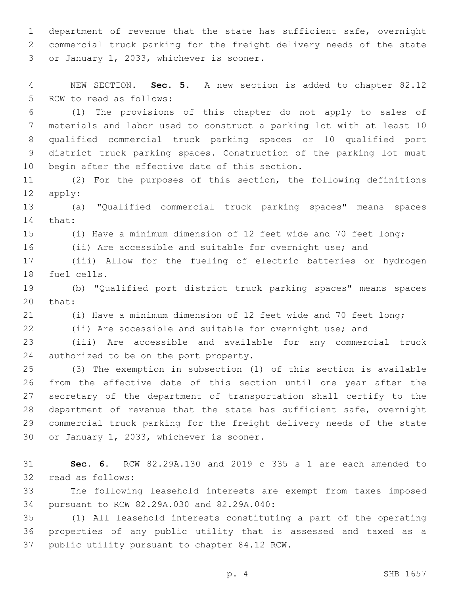department of revenue that the state has sufficient safe, overnight commercial truck parking for the freight delivery needs of the state 3 or January 1, 2033, whichever is sooner.

 NEW SECTION. **Sec. 5.** A new section is added to chapter 82.12 5 RCW to read as follows:

 (1) The provisions of this chapter do not apply to sales of materials and labor used to construct a parking lot with at least 10 qualified commercial truck parking spaces or 10 qualified port district truck parking spaces. Construction of the parking lot must 10 begin after the effective date of this section.

 (2) For the purposes of this section, the following definitions 12 apply:

 (a) "Qualified commercial truck parking spaces" means spaces 14 that:

(i) Have a minimum dimension of 12 feet wide and 70 feet long;

(ii) Are accessible and suitable for overnight use; and

 (iii) Allow for the fueling of electric batteries or hydrogen 18 fuel cells.

 (b) "Qualified port district truck parking spaces" means spaces 20 that:

(i) Have a minimum dimension of 12 feet wide and 70 feet long;

(ii) Are accessible and suitable for overnight use; and

 (iii) Are accessible and available for any commercial truck 24 authorized to be on the port property.

 (3) The exemption in subsection (1) of this section is available from the effective date of this section until one year after the secretary of the department of transportation shall certify to the department of revenue that the state has sufficient safe, overnight commercial truck parking for the freight delivery needs of the state 30 or January 1, 2033, whichever is sooner.

 **Sec. 6.** RCW 82.29A.130 and 2019 c 335 s 1 are each amended to 32 read as follows:

 The following leasehold interests are exempt from taxes imposed 34 pursuant to RCW 82.29A.030 and 82.29A.040:

 (1) All leasehold interests constituting a part of the operating properties of any public utility that is assessed and taxed as a 37 public utility pursuant to chapter 84.12 RCW.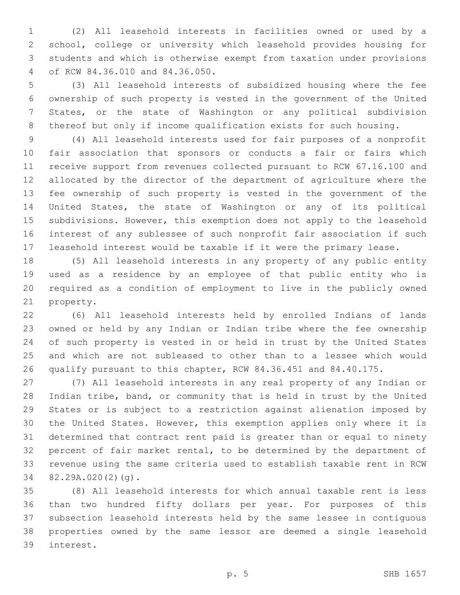(2) All leasehold interests in facilities owned or used by a school, college or university which leasehold provides housing for students and which is otherwise exempt from taxation under provisions of RCW 84.36.010 and 84.36.050.4

 (3) All leasehold interests of subsidized housing where the fee ownership of such property is vested in the government of the United States, or the state of Washington or any political subdivision thereof but only if income qualification exists for such housing.

 (4) All leasehold interests used for fair purposes of a nonprofit fair association that sponsors or conducts a fair or fairs which receive support from revenues collected pursuant to RCW 67.16.100 and allocated by the director of the department of agriculture where the fee ownership of such property is vested in the government of the United States, the state of Washington or any of its political subdivisions. However, this exemption does not apply to the leasehold interest of any sublessee of such nonprofit fair association if such leasehold interest would be taxable if it were the primary lease.

 (5) All leasehold interests in any property of any public entity used as a residence by an employee of that public entity who is required as a condition of employment to live in the publicly owned 21 property.

 (6) All leasehold interests held by enrolled Indians of lands owned or held by any Indian or Indian tribe where the fee ownership of such property is vested in or held in trust by the United States and which are not subleased to other than to a lessee which would qualify pursuant to this chapter, RCW 84.36.451 and 84.40.175.

 (7) All leasehold interests in any real property of any Indian or Indian tribe, band, or community that is held in trust by the United States or is subject to a restriction against alienation imposed by the United States. However, this exemption applies only where it is determined that contract rent paid is greater than or equal to ninety percent of fair market rental, to be determined by the department of revenue using the same criteria used to establish taxable rent in RCW 34 82.29A.020(2)(g).

 (8) All leasehold interests for which annual taxable rent is less than two hundred fifty dollars per year. For purposes of this subsection leasehold interests held by the same lessee in contiguous properties owned by the same lessor are deemed a single leasehold interest.39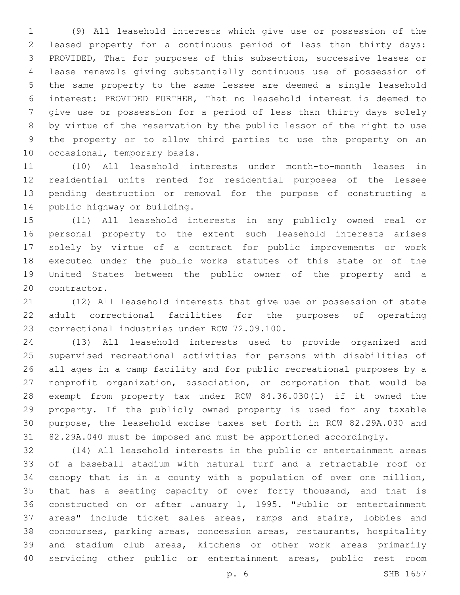(9) All leasehold interests which give use or possession of the leased property for a continuous period of less than thirty days: PROVIDED, That for purposes of this subsection, successive leases or lease renewals giving substantially continuous use of possession of the same property to the same lessee are deemed a single leasehold interest: PROVIDED FURTHER, That no leasehold interest is deemed to give use or possession for a period of less than thirty days solely by virtue of the reservation by the public lessor of the right to use the property or to allow third parties to use the property on an 10 occasional, temporary basis.

 (10) All leasehold interests under month-to-month leases in residential units rented for residential purposes of the lessee pending destruction or removal for the purpose of constructing a 14 public highway or building.

 (11) All leasehold interests in any publicly owned real or personal property to the extent such leasehold interests arises solely by virtue of a contract for public improvements or work executed under the public works statutes of this state or of the United States between the public owner of the property and a 20 contractor.

 (12) All leasehold interests that give use or possession of state adult correctional facilities for the purposes of operating 23 correctional industries under RCW 72.09.100.

 (13) All leasehold interests used to provide organized and supervised recreational activities for persons with disabilities of all ages in a camp facility and for public recreational purposes by a nonprofit organization, association, or corporation that would be exempt from property tax under RCW 84.36.030(1) if it owned the property. If the publicly owned property is used for any taxable purpose, the leasehold excise taxes set forth in RCW 82.29A.030 and 82.29A.040 must be imposed and must be apportioned accordingly.

 (14) All leasehold interests in the public or entertainment areas of a baseball stadium with natural turf and a retractable roof or canopy that is in a county with a population of over one million, that has a seating capacity of over forty thousand, and that is constructed on or after January 1, 1995. "Public or entertainment areas" include ticket sales areas, ramps and stairs, lobbies and concourses, parking areas, concession areas, restaurants, hospitality and stadium club areas, kitchens or other work areas primarily servicing other public or entertainment areas, public rest room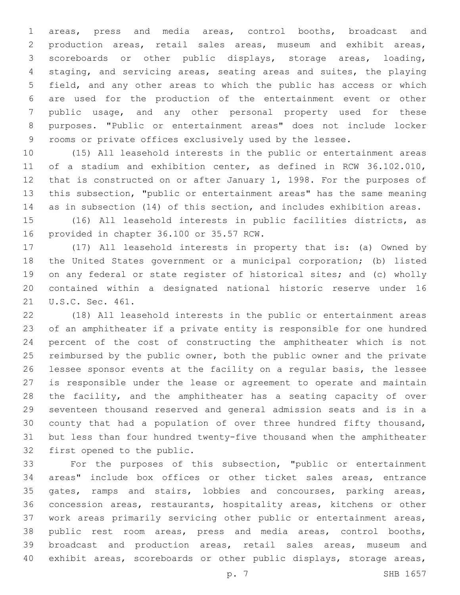areas, press and media areas, control booths, broadcast and production areas, retail sales areas, museum and exhibit areas, scoreboards or other public displays, storage areas, loading, staging, and servicing areas, seating areas and suites, the playing field, and any other areas to which the public has access or which are used for the production of the entertainment event or other public usage, and any other personal property used for these purposes. "Public or entertainment areas" does not include locker rooms or private offices exclusively used by the lessee.

 (15) All leasehold interests in the public or entertainment areas of a stadium and exhibition center, as defined in RCW 36.102.010, that is constructed on or after January 1, 1998. For the purposes of this subsection, "public or entertainment areas" has the same meaning as in subsection (14) of this section, and includes exhibition areas.

 (16) All leasehold interests in public facilities districts, as 16 provided in chapter 36.100 or 35.57 RCW.

 (17) All leasehold interests in property that is: (a) Owned by the United States government or a municipal corporation; (b) listed on any federal or state register of historical sites; and (c) wholly contained within a designated national historic reserve under 16 21 U.S.C. Sec. 461.

 (18) All leasehold interests in the public or entertainment areas of an amphitheater if a private entity is responsible for one hundred percent of the cost of constructing the amphitheater which is not 25 reimbursed by the public owner, both the public owner and the private lessee sponsor events at the facility on a regular basis, the lessee is responsible under the lease or agreement to operate and maintain the facility, and the amphitheater has a seating capacity of over seventeen thousand reserved and general admission seats and is in a county that had a population of over three hundred fifty thousand, but less than four hundred twenty-five thousand when the amphitheater 32 first opened to the public.

 For the purposes of this subsection, "public or entertainment areas" include box offices or other ticket sales areas, entrance gates, ramps and stairs, lobbies and concourses, parking areas, concession areas, restaurants, hospitality areas, kitchens or other work areas primarily servicing other public or entertainment areas, public rest room areas, press and media areas, control booths, broadcast and production areas, retail sales areas, museum and exhibit areas, scoreboards or other public displays, storage areas,

p. 7 SHB 1657